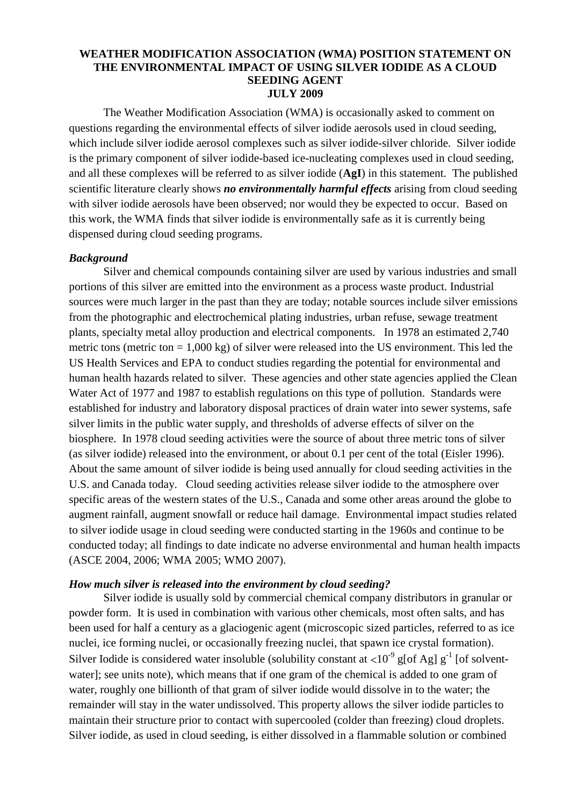# **WEATHER MODIFICATION ASSOCIATION (WMA) POSITION STATEMENT ON THE ENVIRONMENTAL IMPACT OF USING SILVER IODIDE AS A CLOUD SEEDING AGENT JULY 2009**

The Weather Modification Association (WMA) is occasionally asked to comment on questions regarding the environmental effects of silver iodide aerosols used in cloud seeding, which include silver iodide aerosol complexes such as silver iodide-silver chloride. Silver iodide is the primary component of silver iodide-based ice-nucleating complexes used in cloud seeding, and all these complexes will be referred to as silver iodide (**AgI**) in this statement. The published scientific literature clearly shows *no environmentally harmful effects* arising from cloud seeding with silver iodide aerosols have been observed; nor would they be expected to occur. Based on this work, the WMA finds that silver iodide is environmentally safe as it is currently being dispensed during cloud seeding programs.

# *Background*

Silver and chemical compounds containing silver are used by various industries and small portions of this silver are emitted into the environment as a process waste product. Industrial sources were much larger in the past than they are today; notable sources include silver emissions from the photographic and electrochemical plating industries, urban refuse, sewage treatment plants, specialty metal alloy production and electrical components. In 1978 an estimated 2,740 metric tons (metric ton  $= 1,000 \text{ kg}$ ) of silver were released into the US environment. This led the US Health Services and EPA to conduct studies regarding the potential for environmental and human health hazards related to silver. These agencies and other state agencies applied the Clean Water Act of 1977 and 1987 to establish regulations on this type of pollution. Standards were established for industry and laboratory disposal practices of drain water into sewer systems, safe silver limits in the public water supply, and thresholds of adverse effects of silver on the biosphere. In 1978 cloud seeding activities were the source of about three metric tons of silver (as silver iodide) released into the environment, or about 0.1 per cent of the total (Eisler 1996). About the same amount of silver iodide is being used annually for cloud seeding activities in the U.S. and Canada today. Cloud seeding activities release silver iodide to the atmosphere over specific areas of the western states of the U.S., Canada and some other areas around the globe to augment rainfall, augment snowfall or reduce hail damage. Environmental impact studies related to silver iodide usage in cloud seeding were conducted starting in the 1960s and continue to be conducted today; all findings to date indicate no adverse environmental and human health impacts (ASCE 2004, 2006; WMA 2005; WMO 2007).

### *How much silver is released into the environment by cloud seeding?*

Silver iodide is usually sold by commercial chemical company distributors in granular or powder form. It is used in combination with various other chemicals, most often salts, and has been used for half a century as a glaciogenic agent (microscopic sized particles, referred to as ice nuclei, ice forming nuclei, or occasionally freezing nuclei, that spawn ice crystal formation). Silver Iodide is considered water insoluble (solubility constant at  $\langle 10^{-9} \text{ g} [of \text{ Ag}] g^{-1}$  [of solventwater]; see units note), which means that if one gram of the chemical is added to one gram of water, roughly one billionth of that gram of silver iodide would dissolve in to the water; the remainder will stay in the water undissolved. This property allows the silver iodide particles to maintain their structure prior to contact with supercooled (colder than freezing) cloud droplets. Silver iodide, as used in cloud seeding, is either dissolved in a flammable solution or combined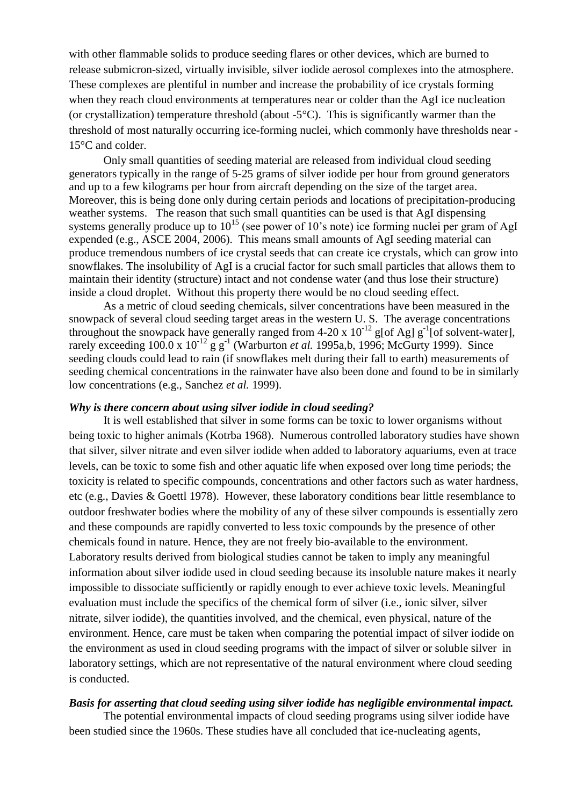with other flammable solids to produce seeding flares or other devices, which are burned to release submicron-sized, virtually invisible, silver iodide aerosol complexes into the atmosphere. These complexes are plentiful in number and increase the probability of ice crystals forming when they reach cloud environments at temperatures near or colder than the AgI ice nucleation (or crystallization) temperature threshold (about  $-5^{\circ}$ C). This is significantly warmer than the threshold of most naturally occurring ice-forming nuclei, which commonly have thresholds near - 15°C and colder.

Only small quantities of seeding material are released from individual cloud seeding generators typically in the range of 5-25 grams of silver iodide per hour from ground generators and up to a few kilograms per hour from aircraft depending on the size of the target area. Moreover, this is being done only during certain periods and locations of precipitation-producing weather systems. The reason that such small quantities can be used is that AgI dispensing systems generally produce up to  $10^{15}$  (see power of 10's note) ice forming nuclei per gram of AgI expended (e.g., ASCE 2004, 2006). This means small amounts of AgI seeding material can produce tremendous numbers of ice crystal seeds that can create ice crystals, which can grow into snowflakes. The insolubility of AgI is a crucial factor for such small particles that allows them to maintain their identity (structure) intact and not condense water (and thus lose their structure) inside a cloud droplet. Without this property there would be no cloud seeding effect.

As a metric of cloud seeding chemicals, silver concentrations have been measured in the snowpack of several cloud seeding target areas in the western U. S. The average concentrations throughout the snowpack have generally ranged from 4-20 x  $10^{-12}$  g[of Ag] g<sup>-1</sup>[of solvent-water], rarely exceeding  $100.0 \times 10^{-12}$  g g<sup>-1</sup> (Warburton *et al.* 1995a,b, 1996; McGurty 1999). Since seeding clouds could lead to rain (if snowflakes melt during their fall to earth) measurements of seeding chemical concentrations in the rainwater have also been done and found to be in similarly low concentrations (e.g., Sanchez *et al.* 1999).

## *Why is there concern about using silver iodide in cloud seeding?*

It is well established that silver in some forms can be toxic to lower organisms without being toxic to higher animals (Kotrba 1968). Numerous controlled laboratory studies have shown that silver, silver nitrate and even silver iodide when added to laboratory aquariums, even at trace levels, can be toxic to some fish and other aquatic life when exposed over long time periods; the toxicity is related to specific compounds, concentrations and other factors such as water hardness, etc (e.g., Davies & Goettl 1978). However, these laboratory conditions bear little resemblance to outdoor freshwater bodies where the mobility of any of these silver compounds is essentially zero and these compounds are rapidly converted to less toxic compounds by the presence of other chemicals found in nature. Hence, they are not freely bio-available to the environment. Laboratory results derived from biological studies cannot be taken to imply any meaningful information about silver iodide used in cloud seeding because its insoluble nature makes it nearly impossible to dissociate sufficiently or rapidly enough to ever achieve toxic levels. Meaningful evaluation must include the specifics of the chemical form of silver (i.e., ionic silver, silver nitrate, silver iodide), the quantities involved, and the chemical, even physical, nature of the environment. Hence, care must be taken when comparing the potential impact of silver iodide on the environment as used in cloud seeding programs with the impact of silver or soluble silver in laboratory settings, which are not representative of the natural environment where cloud seeding is conducted.

#### *Basis for asserting that cloud seeding using silver iodide has negligible environmental impact.*

The potential environmental impacts of cloud seeding programs using silver iodide have been studied since the 1960s. These studies have all concluded that ice-nucleating agents,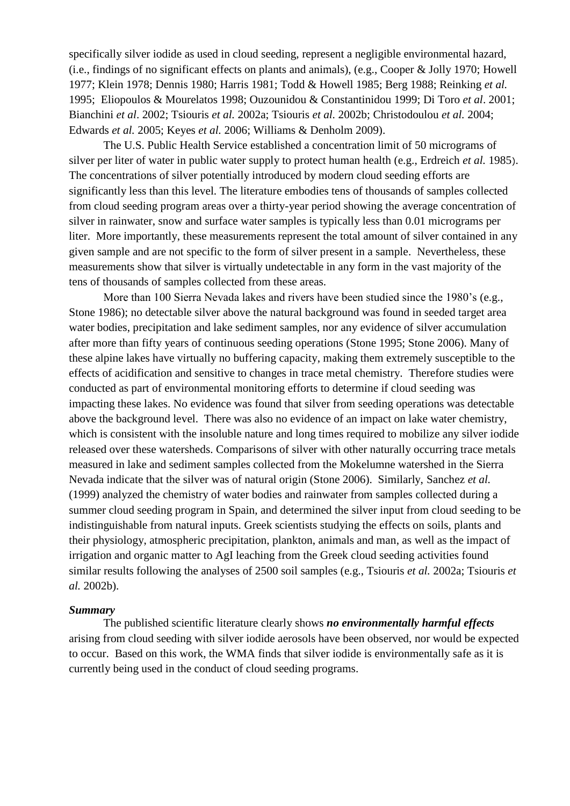specifically silver iodide as used in cloud seeding, represent a negligible environmental hazard, (i.e., findings of no significant effects on plants and animals), (e.g., Cooper & Jolly 1970; Howell 1977; Klein 1978; Dennis 1980; Harris 1981; Todd & Howell 1985; Berg 1988; Reinking *et al.* 1995; Eliopoulos & Mourelatos 1998; Ouzounidou & Constantinidou 1999; Di Toro *et al*. 2001; Bianchini *et al*. 2002; Tsiouris *et al.* 2002a; Tsiouris *et al.* 2002b; Christodoulou *et al.* 2004; Edwards *et al.* 2005; Keyes *et al.* 2006; Williams & Denholm 2009).

The U.S. Public Health Service established a concentration limit of 50 micrograms of silver per liter of water in public water supply to protect human health (e.g., Erdreich *et al.* 1985). The concentrations of silver potentially introduced by modern cloud seeding efforts are significantly less than this level. The literature embodies tens of thousands of samples collected from cloud seeding program areas over a thirty-year period showing the average concentration of silver in rainwater, snow and surface water samples is typically less than 0.01 micrograms per liter. More importantly, these measurements represent the total amount of silver contained in any given sample and are not specific to the form of silver present in a sample. Nevertheless, these measurements show that silver is virtually undetectable in any form in the vast majority of the tens of thousands of samples collected from these areas.

More than 100 Sierra Nevada lakes and rivers have been studied since the 1980's (e.g., Stone 1986); no detectable silver above the natural background was found in seeded target area water bodies, precipitation and lake sediment samples, nor any evidence of silver accumulation after more than fifty years of continuous seeding operations (Stone 1995; Stone 2006). Many of these alpine lakes have virtually no buffering capacity, making them extremely susceptible to the effects of acidification and sensitive to changes in trace metal chemistry. Therefore studies were conducted as part of environmental monitoring efforts to determine if cloud seeding was impacting these lakes. No evidence was found that silver from seeding operations was detectable above the background level. There was also no evidence of an impact on lake water chemistry, which is consistent with the insoluble nature and long times required to mobilize any silver iodide released over these watersheds. Comparisons of silver with other naturally occurring trace metals measured in lake and sediment samples collected from the Mokelumne watershed in the Sierra Nevada indicate that the silver was of natural origin (Stone 2006). Similarly, Sanchez *et al.* (1999) analyzed the chemistry of water bodies and rainwater from samples collected during a summer cloud seeding program in Spain, and determined the silver input from cloud seeding to be indistinguishable from natural inputs. Greek scientists studying the effects on soils, plants and their physiology, atmospheric precipitation, plankton, animals and man, as well as the impact of irrigation and organic matter to AgI leaching from the Greek cloud seeding activities found similar results following the analyses of 2500 soil samples (e.g., Tsiouris *et al.* 2002a; Tsiouris *et al.* 2002b).

#### *Summary*

The published scientific literature clearly shows *no environmentally harmful effects* arising from cloud seeding with silver iodide aerosols have been observed, nor would be expected to occur. Based on this work, the WMA finds that silver iodide is environmentally safe as it is currently being used in the conduct of cloud seeding programs.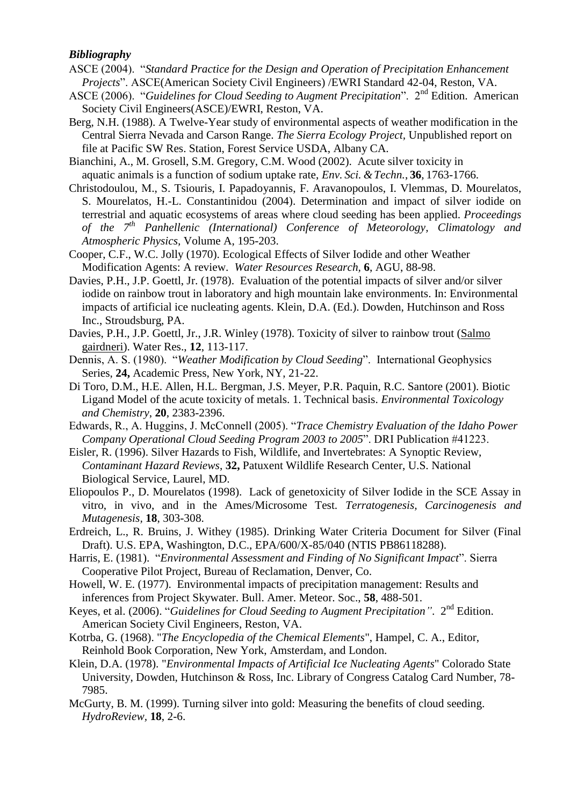# *Bibliography*

- ASCE (2004). "*Standard Practice for the Design and Operation of Precipitation Enhancement Projects*". ASCE(American Society Civil Engineers) /EWRI Standard 42-04, Reston, VA.
- ASCE (2006). "*Guidelines for Cloud Seeding to Augment Precipitation*". 2<sup>nd</sup> Edition. American Society Civil Engineers(ASCE)/EWRI, Reston, VA.
- Berg, N.H. (1988). A Twelve-Year study of environmental aspects of weather modification in the Central Sierra Nevada and Carson Range. *The Sierra Ecology Project,* Unpublished report on file at Pacific SW Res. Station, Forest Service USDA, Albany CA.
- Bianchini, A., M. Grosell, S.M. Gregory, C.M. Wood (2002). Acute silver toxicity in aquatic animals is a function of sodium uptake rate, *Env. Sci. &Techn.*, **36**, 1763-1766.
- Christodoulou, Μ., S. Tsiouris, I. Papadoyannis, F. Aravanopoulos, I. Vlemmas, D. Mourelatos, S. Mourelatos, H.-L. Constantinidou (2004). Determination and impact of silver iodide on terrestrial and aquatic ecosystems of areas where cloud seeding has been applied. *Proceedings of the 7th Panhellenic (International) Conference of Meteorology, Climatology and Atmospheric Physics,* Volume A, 195-203.
- Cooper, C.F., W.C. Jolly (1970). Ecological Effects of Silver Iodide and other Weather Modification Agents: A review. *Water Resources Research,* **6**, AGU, 88-98.
- Davies, P.H., J.P. Goettl, Jr. (1978). Evaluation of the potential impacts of silver and/or silver iodide on rainbow trout in laboratory and high mountain lake environments. In: Environmental impacts of artificial ice nucleating agents. Klein, D.A. (Ed.). Dowden, Hutchinson and Ross Inc., Stroudsburg, PA.
- Davies, P.H., J.P. Goettl, Jr., J.R. Winley (1978). Toxicity of silver to rainbow trout (Salmo gairdneri). Water Res., **12**, 113-117.
- Dennis, A. S. (1980). "*Weather Modification by Cloud Seeding*". International Geophysics Series, **24,** Academic Press, New York, NY, 21-22.
- Di Toro, D.M., H.E. Allen, H.L. Bergman, J.S. Meyer, P.R. Paquin, R.C. Santore (2001). Biotic Ligand Model of the acute toxicity of metals. 1. Technical basis. *Environmental Toxicology and Chemistry*, **20**, 2383-2396.
- Edwards, R., A. Huggins, J. McConnell (2005). "*Trace Chemistry Evaluation of the Idaho Power Company Operational Cloud Seeding Program 2003 to 2005*". DRI Publication #41223.
- Eisler, R. (1996). Silver Hazards to Fish, Wildlife, and Invertebrates: A Synoptic Review, *Contaminant Hazard Reviews*, **32,** Patuxent Wildlife Research Center, U.S. National Biological Service, Laurel, MD.
- Eliopoulos P., D. Mourelatos (1998). Lack of genetoxicity of Silver Iodide in the SCE Assay in vitro, in vivo, and in the Ames/Microsome Test. *Terratogenesis, Carcinogenesis and Mutagenesis,* **18**, 303-308.
- Erdreich, L., R. Bruins, J. Withey (1985). Drinking Water Criteria Document for Silver (Final Draft). U.S. EPA, Washington, D.C., EPA/600/X-85/040 (NTIS PB86118288).
- Harris, E. (1981). "*Environmental Assessment and Finding of No Significant Impact*". Sierra Cooperative Pilot Project, Bureau of Reclamation, Denver, Co.
- Howell, W. E. (1977). Environmental impacts of precipitation management: Results and inferences from Project Skywater. Bull. Amer. Meteor. Soc., **58**, 488-501.
- Keyes, et al. (2006). "*Guidelines for Cloud Seeding to Augment Precipitation"*. 2nd Edition. American Society Civil Engineers, Reston, VA.
- Kotrba, G. (1968). "*The Encyclopedia of the Chemical Elements*", Hampel, C. A., Editor, Reinhold Book Corporation, New York, Amsterdam, and London.
- Klein, D.A. (1978). "*Environmental Impacts of Artificial Ice Nucleating Agents*" Colorado State University, Dowden, Hutchinson & Ross, Inc. Library of Congress Catalog Card Number, 78- 7985.
- McGurty, B. M. (1999). Turning silver into gold: Measuring the benefits of cloud seeding. *HydroReview,* **18**, 2-6.